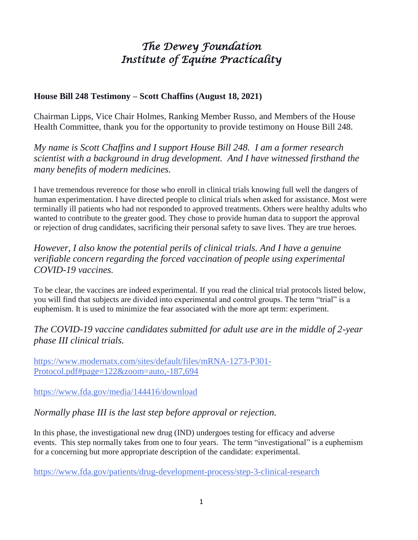## *The Dewey Foundation Institute of Equine Practicality*

## **House Bill 248 Testimony – Scott Chaffins (August 18, 2021)**

Chairman Lipps, Vice Chair Holmes, Ranking Member Russo, and Members of the House Health Committee, thank you for the opportunity to provide testimony on House Bill 248.

*My name is Scott Chaffins and I support House Bill 248. I am a former research scientist with a background in drug development. And I have witnessed firsthand the many benefits of modern medicines.* 

I have tremendous reverence for those who enroll in clinical trials knowing full well the dangers of human experimentation. I have directed people to clinical trials when asked for assistance. Most were terminally ill patients who had not responded to approved treatments. Others were healthy adults who wanted to contribute to the greater good. They chose to provide human data to support the approval or rejection of drug candidates, sacrificing their personal safety to save lives. They are true heroes.

*However, I also know the potential perils of clinical trials. And I have a genuine verifiable concern regarding the forced vaccination of people using experimental COVID-19 vaccines.* 

To be clear, the vaccines are indeed experimental. If you read the clinical trial protocols listed below, you will find that subjects are divided into experimental and control groups. The term "trial" is a euphemism. It is used to minimize the fear associated with the more apt term: experiment.

## *The COVID-19 vaccine candidates submitted for adult use are in the middle of 2-year phase III clinical trials.*

[https://www.modernatx.com/sites/default/files/mRNA-1273-P301-](https://www.modernatx.com/sites/default/files/mRNA-1273-P301-Protocol.pdf#page=122&zoom=auto,-187,694) [Protocol.pdf#page=122&zoom=auto,-187,694](https://www.modernatx.com/sites/default/files/mRNA-1273-P301-Protocol.pdf#page=122&zoom=auto,-187,694)

<https://www.fda.gov/media/144416/download>

*Normally phase III is the last step before approval or rejection.* 

In this phase, the investigational new drug (IND) undergoes testing for efficacy and adverse events. This step normally takes from one to four years. The term "investigational" is a euphemism for a concerning but more appropriate description of the candidate: experimental.

<https://www.fda.gov/patients/drug-development-process/step-3-clinical-research>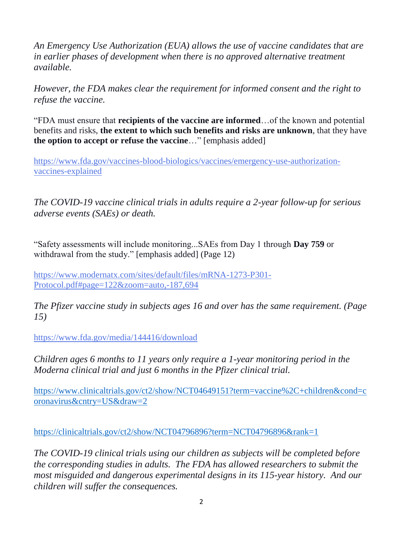*An Emergency Use Authorization (EUA) allows the use of vaccine candidates that are in earlier phases of development when there is no approved alternative treatment available.* 

*However, the FDA makes clear the requirement for informed consent and the right to refuse the vaccine.*

"FDA must ensure that **recipients of the vaccine are informed**…of the known and potential benefits and risks, **the extent to which such benefits and risks are unknown**, that they have **the option to accept or refuse the vaccine**…" [emphasis added]

[https://www.fda.gov/vaccines-blood-biologics/vaccines/emergency-use-authorization](https://www.fda.gov/vaccines-blood-biologics/vaccines/emergency-use-authorization-vaccines-explained)[vaccines-explained](https://www.fda.gov/vaccines-blood-biologics/vaccines/emergency-use-authorization-vaccines-explained)

*The COVID-19 vaccine clinical trials in adults require a 2-year follow-up for serious adverse events (SAEs) or death.*

"Safety assessments will include monitoring...SAEs from Day 1 through **Day 759** or withdrawal from the study." [emphasis added] (Page 12)

[https://www.modernatx.com/sites/default/files/mRNA-1273-P301-](https://www.modernatx.com/sites/default/files/mRNA-1273-P301-Protocol.pdf#page=122&zoom=auto,-187,694) [Protocol.pdf#page=122&zoom=auto,-187,694](https://www.modernatx.com/sites/default/files/mRNA-1273-P301-Protocol.pdf#page=122&zoom=auto,-187,694)

*The Pfizer vaccine study in subjects ages 16 and over has the same requirement. (Page 15)*

<https://www.fda.gov/media/144416/download>

*Children ages 6 months to 11 years only require a 1-year monitoring period in the Moderna clinical trial and just 6 months in the Pfizer clinical trial.*

[https://www.clinicaltrials.gov/ct2/show/NCT04649151?term=vaccine%2C+children&cond=c](https://www.clinicaltrials.gov/ct2/show/NCT04649151?term=vaccine%2C+children&cond=coronavirus&cntry=US&draw=2) [oronavirus&cntry=US&draw=2](https://www.clinicaltrials.gov/ct2/show/NCT04649151?term=vaccine%2C+children&cond=coronavirus&cntry=US&draw=2)

<https://clinicaltrials.gov/ct2/show/NCT04796896?term=NCT04796896&rank=1>

*The COVID-19 clinical trials using our children as subjects will be completed before the corresponding studies in adults. The FDA has allowed researchers to submit the most misguided and dangerous experimental designs in its 115-year history. And our children will suffer the consequences.*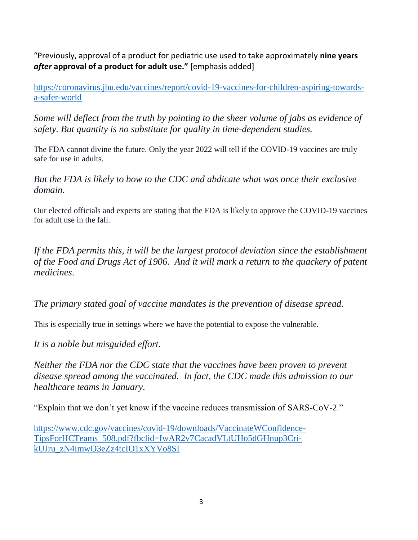"Previously, approval of a product for pediatric use used to take approximately **nine years**  *after* **approval of a product for adult use."** [emphasis added]

[https://coronavirus.jhu.edu/vaccines/report/covid-19-vaccines-for-children-aspiring-towards](https://coronavirus.jhu.edu/vaccines/report/covid-19-vaccines-for-children-aspiring-towards-a-safer-world)[a-safer-world](https://coronavirus.jhu.edu/vaccines/report/covid-19-vaccines-for-children-aspiring-towards-a-safer-world)

*Some will deflect from the truth by pointing to the sheer volume of jabs as evidence of safety. But quantity is no substitute for quality in time-dependent studies.* 

The FDA cannot divine the future. Only the year 2022 will tell if the COVID-19 vaccines are truly safe for use in adults.

*But the FDA is likely to bow to the CDC and abdicate what was once their exclusive domain.* 

Our elected officials and experts are stating that the FDA is likely to approve the COVID-19 vaccines for adult use in the fall.

*If the FDA permits this, it will be the largest protocol deviation since the establishment of the Food and Drugs Act of 1906. And it will mark a return to the quackery of patent medicines.*

*The primary stated goal of vaccine mandates is the prevention of disease spread.* 

This is especially true in settings where we have the potential to expose the vulnerable.

*It is a noble but misguided effort.*

*Neither the FDA nor the CDC state that the vaccines have been proven to prevent disease spread among the vaccinated. In fact, the CDC made this admission to our healthcare teams in January.*

"Explain that we don't yet know if the vaccine reduces transmission of SARS-CoV-2."

[https://www.cdc.gov/vaccines/covid-19/downloads/VaccinateWConfidence-](https://www.cdc.gov/vaccines/covid-19/downloads/VaccinateWConfidence-TipsForHCTeams_508.pdf?fbclid=IwAR2v7CacadVLtUHo5dGHnup3Cri-kUJru_zN4imwO3eZz4tcIO1xXYVo8SI)[TipsForHCTeams\\_508.pdf?fbclid=IwAR2v7CacadVLtUHo5dGHnup3Cri](https://www.cdc.gov/vaccines/covid-19/downloads/VaccinateWConfidence-TipsForHCTeams_508.pdf?fbclid=IwAR2v7CacadVLtUHo5dGHnup3Cri-kUJru_zN4imwO3eZz4tcIO1xXYVo8SI)[kUJru\\_zN4imwO3eZz4tcIO1xXYVo8SI](https://www.cdc.gov/vaccines/covid-19/downloads/VaccinateWConfidence-TipsForHCTeams_508.pdf?fbclid=IwAR2v7CacadVLtUHo5dGHnup3Cri-kUJru_zN4imwO3eZz4tcIO1xXYVo8SI)